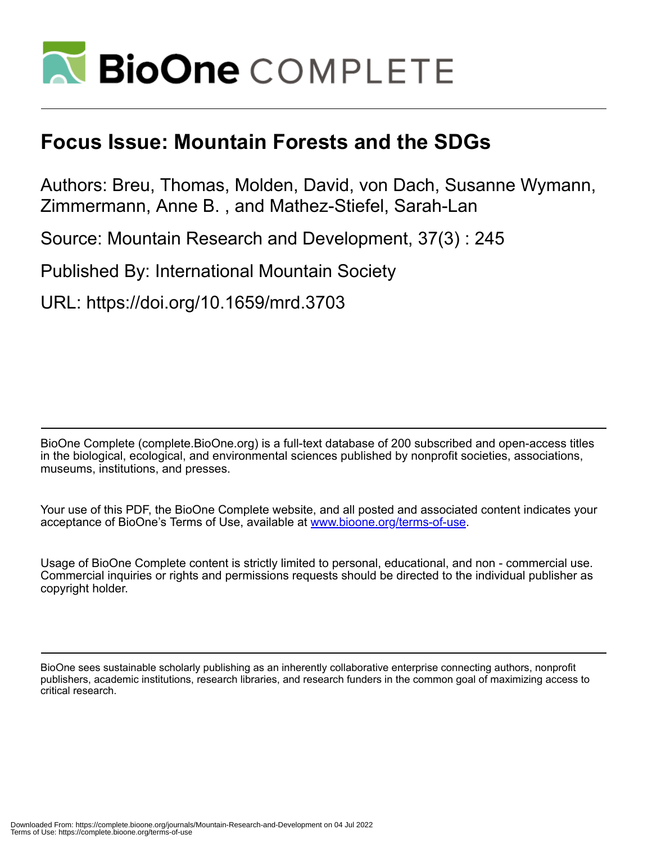

## **Focus Issue: Mountain Forests and the SDGs**

Authors: Breu, Thomas, Molden, David, von Dach, Susanne Wymann, Zimmermann, Anne B. , and Mathez-Stiefel, Sarah-Lan

Source: Mountain Research and Development, 37(3) : 245

Published By: International Mountain Society

URL: https://doi.org/10.1659/mrd.3703

BioOne Complete (complete.BioOne.org) is a full-text database of 200 subscribed and open-access titles in the biological, ecological, and environmental sciences published by nonprofit societies, associations, museums, institutions, and presses.

Your use of this PDF, the BioOne Complete website, and all posted and associated content indicates your acceptance of BioOne's Terms of Use, available at www.bioone.org/terms-of-use.

Usage of BioOne Complete content is strictly limited to personal, educational, and non - commercial use. Commercial inquiries or rights and permissions requests should be directed to the individual publisher as copyright holder.

BioOne sees sustainable scholarly publishing as an inherently collaborative enterprise connecting authors, nonprofit publishers, academic institutions, research libraries, and research funders in the common goal of maximizing access to critical research.